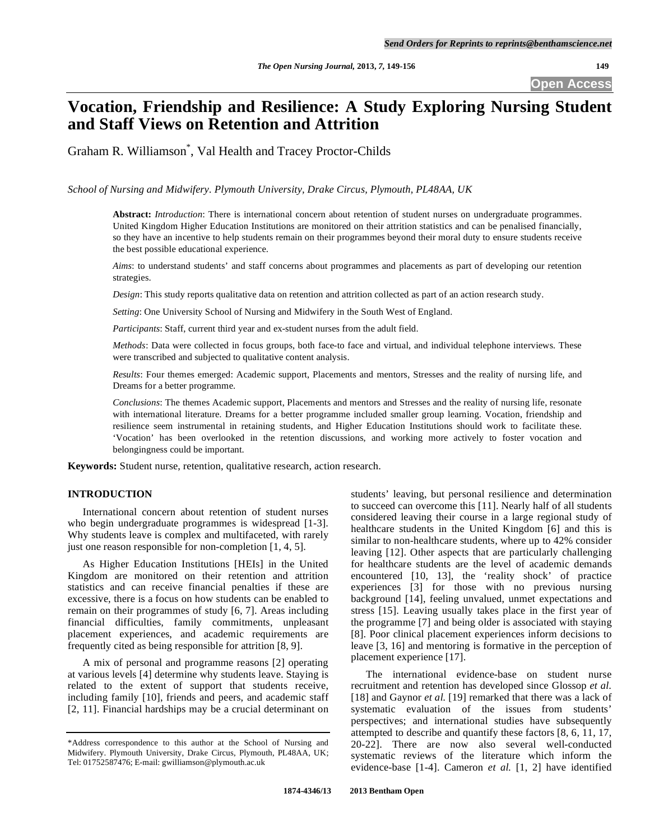**Open Access** 

# **Vocation, Friendship and Resilience: A Study Exploring Nursing Student and Staff Views on Retention and Attrition**

Graham R. Williamson\* , Val Health and Tracey Proctor-Childs

*School of Nursing and Midwifery. Plymouth University, Drake Circus, Plymouth, PL48AA, UK* 

**Abstract:** *Introduction*: There is international concern about retention of student nurses on undergraduate programmes. United Kingdom Higher Education Institutions are monitored on their attrition statistics and can be penalised financially, so they have an incentive to help students remain on their programmes beyond their moral duty to ensure students receive the best possible educational experience.

*Aims*: to understand students' and staff concerns about programmes and placements as part of developing our retention strategies.

*Design*: This study reports qualitative data on retention and attrition collected as part of an action research study.

*Setting*: One University School of Nursing and Midwifery in the South West of England.

*Participants*: Staff, current third year and ex-student nurses from the adult field.

*Methods*: Data were collected in focus groups, both face-to face and virtual, and individual telephone interviews. These were transcribed and subjected to qualitative content analysis.

*Results*: Four themes emerged: Academic support, Placements and mentors, Stresses and the reality of nursing life, and Dreams for a better programme.

*Conclusions*: The themes Academic support, Placements and mentors and Stresses and the reality of nursing life, resonate with international literature. Dreams for a better programme included smaller group learning. Vocation, friendship and resilience seem instrumental in retaining students, and Higher Education Institutions should work to facilitate these. 'Vocation' has been overlooked in the retention discussions, and working more actively to foster vocation and belongingness could be important.

**Keywords:** Student nurse, retention, qualitative research, action research.

# **INTRODUCTION**

 International concern about retention of student nurses who begin undergraduate programmes is widespread [1-3]. Why students leave is complex and multifaceted, with rarely just one reason responsible for non-completion [1, 4, 5].

 As Higher Education Institutions [HEIs] in the United Kingdom are monitored on their retention and attrition statistics and can receive financial penalties if these are excessive, there is a focus on how students can be enabled to remain on their programmes of study [6, 7]. Areas including financial difficulties, family commitments, unpleasant placement experiences, and academic requirements are frequently cited as being responsible for attrition [8, 9].

 A mix of personal and programme reasons [2] operating at various levels [4] determine why students leave. Staying is related to the extent of support that students receive, including family [10], friends and peers, and academic staff [2, 11]. Financial hardships may be a crucial determinant on

students' leaving, but personal resilience and determination to succeed can overcome this [11]. Nearly half of all students considered leaving their course in a large regional study of healthcare students in the United Kingdom [6] and this is similar to non-healthcare students, where up to 42% consider leaving [12]. Other aspects that are particularly challenging for healthcare students are the level of academic demands encountered [10, 13], the 'reality shock' of practice experiences [3] for those with no previous nursing background [14], feeling unvalued, unmet expectations and stress [15]. Leaving usually takes place in the first year of the programme [7] and being older is associated with staying [8]. Poor clinical placement experiences inform decisions to leave [3, 16] and mentoring is formative in the perception of placement experience [17].

 The international evidence-base on student nurse recruitment and retention has developed since Glossop *et al.*  [18] and Gaynor *et al.* [19] remarked that there was a lack of systematic evaluation of the issues from students' perspectives; and international studies have subsequently attempted to describe and quantify these factors [8, 6, 11, 17, 20-22]. There are now also several well-conducted systematic reviews of the literature which inform the evidence-base [1-4]. Cameron *et al.* [1, 2] have identified

<sup>\*</sup>Address correspondence to this author at the School of Nursing and Midwifery. Plymouth University, Drake Circus, Plymouth, PL48AA, UK; Tel: 01752587476; E-mail: gwilliamson@plymouth.ac.uk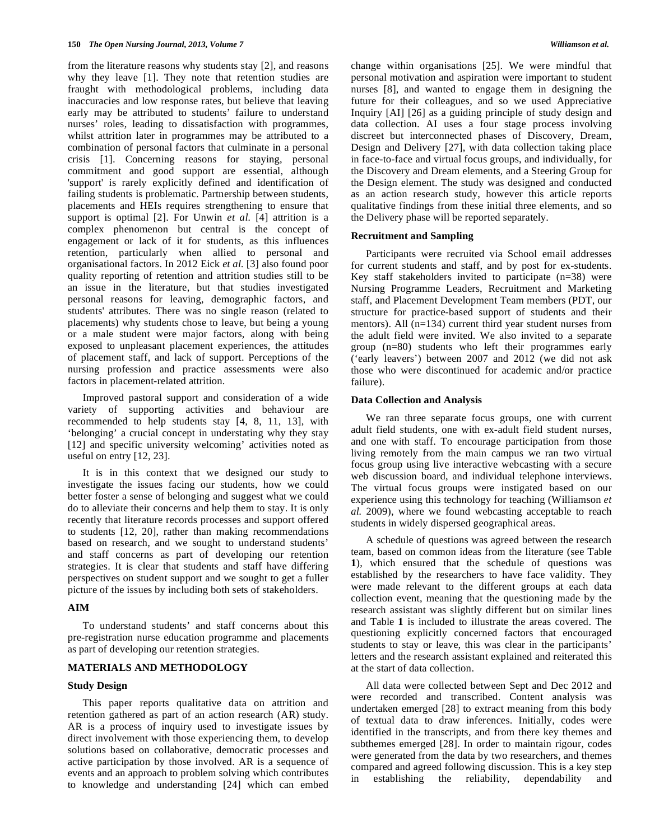from the literature reasons why students stay [2], and reasons why they leave [1]. They note that retention studies are fraught with methodological problems, including data inaccuracies and low response rates, but believe that leaving early may be attributed to students' failure to understand nurses' roles, leading to dissatisfaction with programmes, whilst attrition later in programmes may be attributed to a combination of personal factors that culminate in a personal crisis [1]. Concerning reasons for staying, personal commitment and good support are essential, although 'support' is rarely explicitly defined and identification of failing students is problematic. Partnership between students, placements and HEIs requires strengthening to ensure that support is optimal [2]. For Unwin *et al.* [4] attrition is a complex phenomenon but central is the concept of engagement or lack of it for students, as this influences retention, particularly when allied to personal and organisational factors. In 2012 Eick *et al.* [3] also found poor quality reporting of retention and attrition studies still to be an issue in the literature, but that studies investigated personal reasons for leaving, demographic factors, and students' attributes. There was no single reason (related to placements) why students chose to leave, but being a young or a male student were major factors, along with being exposed to unpleasant placement experiences, the attitudes of placement staff, and lack of support. Perceptions of the nursing profession and practice assessments were also factors in placement-related attrition.

 Improved pastoral support and consideration of a wide variety of supporting activities and behaviour are recommended to help students stay [4, 8, 11, 13], with 'belonging' a crucial concept in understating why they stay [12] and specific university welcoming' activities noted as useful on entry [12, 23].

 It is in this context that we designed our study to investigate the issues facing our students, how we could better foster a sense of belonging and suggest what we could do to alleviate their concerns and help them to stay. It is only recently that literature records processes and support offered to students [12, 20], rather than making recommendations based on research, and we sought to understand students' and staff concerns as part of developing our retention strategies. It is clear that students and staff have differing perspectives on student support and we sought to get a fuller picture of the issues by including both sets of stakeholders.

#### **AIM**

 To understand students' and staff concerns about this pre-registration nurse education programme and placements as part of developing our retention strategies.

# **MATERIALS AND METHODOLOGY**

#### **Study Design**

 This paper reports qualitative data on attrition and retention gathered as part of an action research (AR) study. AR is a process of inquiry used to investigate issues by direct involvement with those experiencing them, to develop solutions based on collaborative, democratic processes and active participation by those involved. AR is a sequence of events and an approach to problem solving which contributes to knowledge and understanding [24] which can embed

change within organisations [25]. We were mindful that personal motivation and aspiration were important to student nurses [8], and wanted to engage them in designing the future for their colleagues, and so we used Appreciative Inquiry [AI] [26] as a guiding principle of study design and data collection. AI uses a four stage process involving discreet but interconnected phases of Discovery, Dream, Design and Delivery [27], with data collection taking place in face-to-face and virtual focus groups, and individually, for the Discovery and Dream elements, and a Steering Group for the Design element. The study was designed and conducted as an action research study, however this article reports qualitative findings from these initial three elements, and so the Delivery phase will be reported separately.

#### **Recruitment and Sampling**

 Participants were recruited via School email addresses for current students and staff, and by post for ex-students. Key staff stakeholders invited to participate (n=38) were Nursing Programme Leaders, Recruitment and Marketing staff, and Placement Development Team members (PDT, our structure for practice-based support of students and their mentors). All (n=134) current third year student nurses from the adult field were invited. We also invited to a separate group (n=80) students who left their programmes early ('early leavers') between 2007 and 2012 (we did not ask those who were discontinued for academic and/or practice failure).

#### **Data Collection and Analysis**

 We ran three separate focus groups, one with current adult field students, one with ex-adult field student nurses, and one with staff. To encourage participation from those living remotely from the main campus we ran two virtual focus group using live interactive webcasting with a secure web discussion board, and individual telephone interviews. The virtual focus groups were instigated based on our experience using this technology for teaching (Williamson *et al.* 2009), where we found webcasting acceptable to reach students in widely dispersed geographical areas.

 A schedule of questions was agreed between the research team, based on common ideas from the literature (see Table **1**), which ensured that the schedule of questions was established by the researchers to have face validity. They were made relevant to the different groups at each data collection event, meaning that the questioning made by the research assistant was slightly different but on similar lines and Table **1** is included to illustrate the areas covered. The questioning explicitly concerned factors that encouraged students to stay or leave, this was clear in the participants' letters and the research assistant explained and reiterated this at the start of data collection.

 All data were collected between Sept and Dec 2012 and were recorded and transcribed. Content analysis was undertaken emerged [28] to extract meaning from this body of textual data to draw inferences. Initially, codes were identified in the transcripts, and from there key themes and subthemes emerged [28]. In order to maintain rigour, codes were generated from the data by two researchers, and themes compared and agreed following discussion. This is a key step in establishing the reliability, dependability and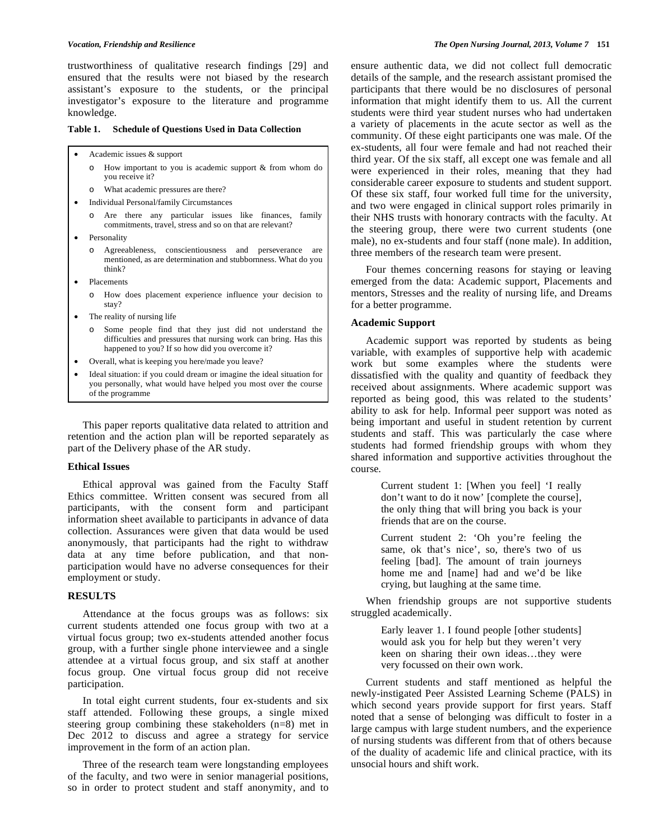trustworthiness of qualitative research findings [29] and ensured that the results were not biased by the research assistant's exposure to the students, or the principal investigator's exposure to the literature and programme knowledge.

#### **Table 1. Schedule of Questions Used in Data Collection**

- Academic issues & support
	- o How important to you is academic support & from whom do you receive it?
	- o What academic pressures are there?
- Individual Personal/family Circumstances
	- o Are there any particular issues like finances, family commitments, travel, stress and so on that are relevant?
- **Personality** 
	- o Agreeableness, conscientiousness and perseverance are mentioned, as are determination and stubbornness. What do you think?
- **Placements** 
	- o How does placement experience influence your decision to stay?
- The reality of nursing life
	- o Some people find that they just did not understand the difficulties and pressures that nursing work can bring. Has this happened to you? If so how did you overcome it?
- Overall, what is keeping you here/made you leave?
- Ideal situation: if you could dream or imagine the ideal situation for you personally, what would have helped you most over the course of the programme

 This paper reports qualitative data related to attrition and retention and the action plan will be reported separately as part of the Delivery phase of the AR study.

### **Ethical Issues**

 Ethical approval was gained from the Faculty Staff Ethics committee. Written consent was secured from all participants, with the consent form and participant information sheet available to participants in advance of data collection. Assurances were given that data would be used anonymously, that participants had the right to withdraw data at any time before publication, and that nonparticipation would have no adverse consequences for their employment or study.

#### **RESULTS**

 Attendance at the focus groups was as follows: six current students attended one focus group with two at a virtual focus group; two ex-students attended another focus group, with a further single phone interviewee and a single attendee at a virtual focus group, and six staff at another focus group. One virtual focus group did not receive participation.

 In total eight current students, four ex-students and six staff attended. Following these groups, a single mixed steering group combining these stakeholders (n=8) met in Dec 2012 to discuss and agree a strategy for service improvement in the form of an action plan.

 Three of the research team were longstanding employees of the faculty, and two were in senior managerial positions, so in order to protect student and staff anonymity, and to

ensure authentic data, we did not collect full democratic details of the sample, and the research assistant promised the participants that there would be no disclosures of personal information that might identify them to us. All the current students were third year student nurses who had undertaken a variety of placements in the acute sector as well as the community. Of these eight participants one was male. Of the ex-students, all four were female and had not reached their third year. Of the six staff, all except one was female and all were experienced in their roles, meaning that they had considerable career exposure to students and student support. Of these six staff, four worked full time for the university, and two were engaged in clinical support roles primarily in their NHS trusts with honorary contracts with the faculty. At the steering group, there were two current students (one male), no ex-students and four staff (none male). In addition, three members of the research team were present.

 Four themes concerning reasons for staying or leaving emerged from the data: Academic support, Placements and mentors, Stresses and the reality of nursing life, and Dreams for a better programme.

# **Academic Support**

 Academic support was reported by students as being variable, with examples of supportive help with academic work but some examples where the students were dissatisfied with the quality and quantity of feedback they received about assignments. Where academic support was reported as being good, this was related to the students' ability to ask for help. Informal peer support was noted as being important and useful in student retention by current students and staff. This was particularly the case where students had formed friendship groups with whom they shared information and supportive activities throughout the course.

> Current student 1: [When you feel] 'I really don't want to do it now' [complete the course], the only thing that will bring you back is your friends that are on the course.

> Current student 2: 'Oh you're feeling the same, ok that's nice', so, there's two of us feeling [bad]. The amount of train journeys home me and [name] had and we'd be like crying, but laughing at the same time.

 When friendship groups are not supportive students struggled academically.

> Early leaver 1. I found people [other students] would ask you for help but they weren't very keen on sharing their own ideas…they were very focussed on their own work.

 Current students and staff mentioned as helpful the newly-instigated Peer Assisted Learning Scheme (PALS) in which second years provide support for first years. Staff noted that a sense of belonging was difficult to foster in a large campus with large student numbers, and the experience of nursing students was different from that of others because of the duality of academic life and clinical practice, with its unsocial hours and shift work.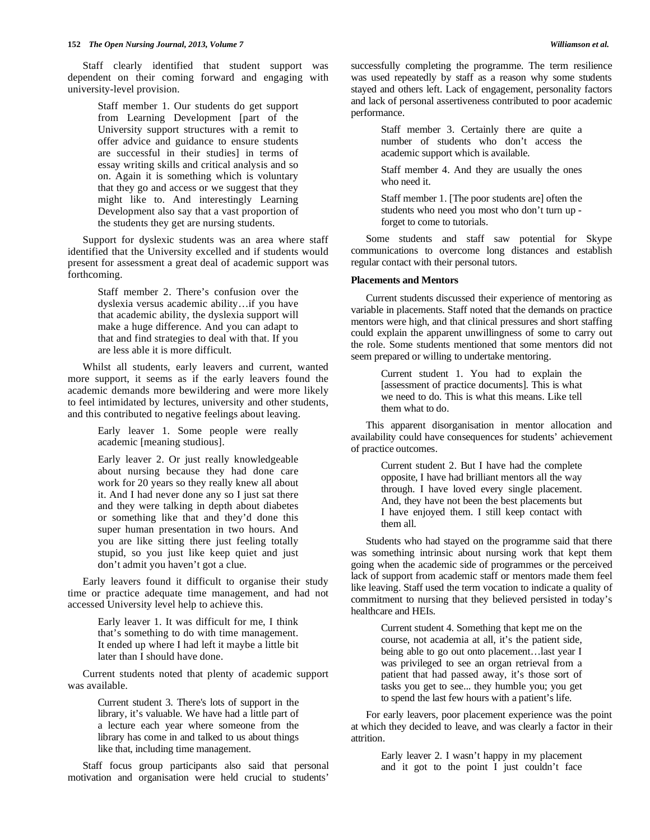Staff clearly identified that student support was dependent on their coming forward and engaging with university-level provision.

> Staff member 1. Our students do get support from Learning Development [part of the University support structures with a remit to offer advice and guidance to ensure students are successful in their studies] in terms of essay writing skills and critical analysis and so on. Again it is something which is voluntary that they go and access or we suggest that they might like to. And interestingly Learning Development also say that a vast proportion of the students they get are nursing students.

 Support for dyslexic students was an area where staff identified that the University excelled and if students would present for assessment a great deal of academic support was forthcoming.

> Staff member 2. There's confusion over the dyslexia versus academic ability…if you have that academic ability, the dyslexia support will make a huge difference. And you can adapt to that and find strategies to deal with that. If you are less able it is more difficult.

 Whilst all students, early leavers and current, wanted more support, it seems as if the early leavers found the academic demands more bewildering and were more likely to feel intimidated by lectures, university and other students, and this contributed to negative feelings about leaving.

> Early leaver 1. Some people were really academic [meaning studious].

Early leaver 2. Or just really knowledgeable about nursing because they had done care work for 20 years so they really knew all about it. And I had never done any so I just sat there and they were talking in depth about diabetes or something like that and they'd done this super human presentation in two hours. And you are like sitting there just feeling totally stupid, so you just like keep quiet and just don't admit you haven't got a clue.

 Early leavers found it difficult to organise their study time or practice adequate time management, and had not accessed University level help to achieve this.

> Early leaver 1. It was difficult for me, I think that's something to do with time management. It ended up where I had left it maybe a little bit later than I should have done.

 Current students noted that plenty of academic support was available.

> Current student 3. There's lots of support in the library, it's valuable. We have had a little part of a lecture each year where someone from the library has come in and talked to us about things like that, including time management.

 Staff focus group participants also said that personal motivation and organisation were held crucial to students'

successfully completing the programme. The term resilience was used repeatedly by staff as a reason why some students stayed and others left. Lack of engagement, personality factors and lack of personal assertiveness contributed to poor academic performance.

> Staff member 3. Certainly there are quite a number of students who don't access the academic support which is available.

> Staff member 4. And they are usually the ones who need it.

> Staff member 1. [The poor students are] often the students who need you most who don't turn up forget to come to tutorials.

 Some students and staff saw potential for Skype communications to overcome long distances and establish regular contact with their personal tutors.

## **Placements and Mentors**

 Current students discussed their experience of mentoring as variable in placements. Staff noted that the demands on practice mentors were high, and that clinical pressures and short staffing could explain the apparent unwillingness of some to carry out the role. Some students mentioned that some mentors did not seem prepared or willing to undertake mentoring.

> Current student 1. You had to explain the [assessment of practice documents]. This is what we need to do. This is what this means. Like tell them what to do.

 This apparent disorganisation in mentor allocation and availability could have consequences for students' achievement of practice outcomes.

> Current student 2. But I have had the complete opposite, I have had brilliant mentors all the way through. I have loved every single placement. And, they have not been the best placements but I have enjoyed them. I still keep contact with them all.

 Students who had stayed on the programme said that there was something intrinsic about nursing work that kept them going when the academic side of programmes or the perceived lack of support from academic staff or mentors made them feel like leaving. Staff used the term vocation to indicate a quality of commitment to nursing that they believed persisted in today's healthcare and HEIs.

> Current student 4. Something that kept me on the course, not academia at all, it's the patient side, being able to go out onto placement…last year I was privileged to see an organ retrieval from a patient that had passed away, it's those sort of tasks you get to see... they humble you; you get to spend the last few hours with a patient's life.

 For early leavers, poor placement experience was the point at which they decided to leave, and was clearly a factor in their attrition.

> Early leaver 2. I wasn't happy in my placement and it got to the point I just couldn't face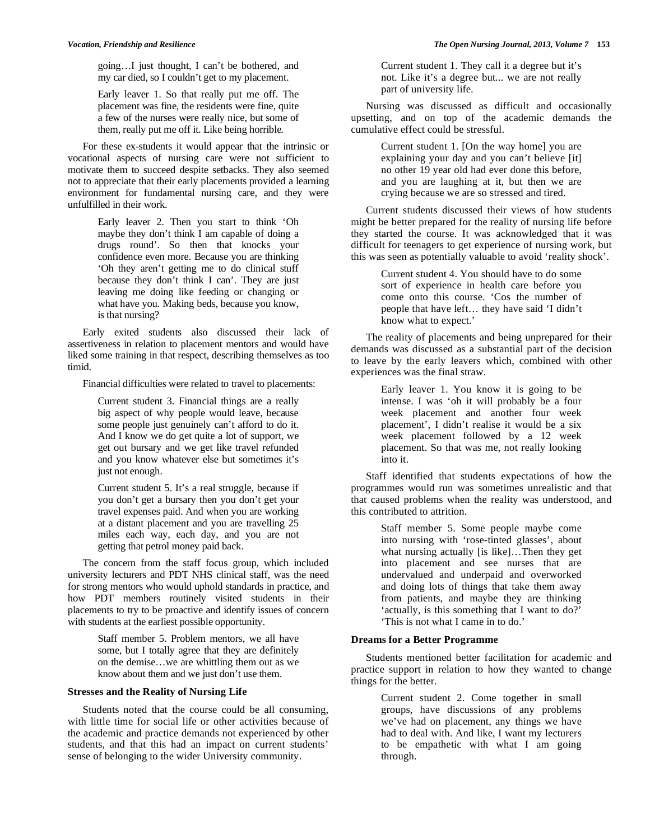going…I just thought, I can't be bothered, and my car died, so I couldn't get to my placement.

Early leaver 1. So that really put me off. The placement was fine, the residents were fine, quite a few of the nurses were really nice, but some of them, really put me off it. Like being horrible.

 For these ex-students it would appear that the intrinsic or vocational aspects of nursing care were not sufficient to motivate them to succeed despite setbacks. They also seemed not to appreciate that their early placements provided a learning environment for fundamental nursing care, and they were unfulfilled in their work.

> Early leaver 2. Then you start to think 'Oh maybe they don't think I am capable of doing a drugs round'. So then that knocks your confidence even more. Because you are thinking 'Oh they aren't getting me to do clinical stuff because they don't think I can'. They are just leaving me doing like feeding or changing or what have you. Making beds, because you know, is that nursing?

 Early exited students also discussed their lack of assertiveness in relation to placement mentors and would have liked some training in that respect, describing themselves as too timid.

Financial difficulties were related to travel to placements:

Current student 3. Financial things are a really big aspect of why people would leave, because some people just genuinely can't afford to do it. And I know we do get quite a lot of support, we get out bursary and we get like travel refunded and you know whatever else but sometimes it's just not enough.

Current student 5. It's a real struggle, because if you don't get a bursary then you don't get your travel expenses paid. And when you are working at a distant placement and you are travelling 25 miles each way, each day, and you are not getting that petrol money paid back.

 The concern from the staff focus group, which included university lecturers and PDT NHS clinical staff, was the need for strong mentors who would uphold standards in practice, and how PDT members routinely visited students in their placements to try to be proactive and identify issues of concern with students at the earliest possible opportunity.

> Staff member 5. Problem mentors, we all have some, but I totally agree that they are definitely on the demise…we are whittling them out as we know about them and we just don't use them.

## **Stresses and the Reality of Nursing Life**

 Students noted that the course could be all consuming, with little time for social life or other activities because of the academic and practice demands not experienced by other students, and that this had an impact on current students' sense of belonging to the wider University community.

Current student 1. They call it a degree but it's not. Like it's a degree but... we are not really part of university life.

 Nursing was discussed as difficult and occasionally upsetting, and on top of the academic demands the cumulative effect could be stressful.

> Current student 1. [On the way home] you are explaining your day and you can't believe [it] no other 19 year old had ever done this before, and you are laughing at it, but then we are crying because we are so stressed and tired.

 Current students discussed their views of how students might be better prepared for the reality of nursing life before they started the course. It was acknowledged that it was difficult for teenagers to get experience of nursing work, but this was seen as potentially valuable to avoid 'reality shock'.

> Current student 4. You should have to do some sort of experience in health care before you come onto this course. 'Cos the number of people that have left… they have said 'I didn't know what to expect.'

 The reality of placements and being unprepared for their demands was discussed as a substantial part of the decision to leave by the early leavers which, combined with other experiences was the final straw.

> Early leaver 1. You know it is going to be intense. I was 'oh it will probably be a four week placement and another four week placement', I didn't realise it would be a six week placement followed by a 12 week placement. So that was me, not really looking into it.

 Staff identified that students expectations of how the programmes would run was sometimes unrealistic and that that caused problems when the reality was understood, and this contributed to attrition.

> Staff member 5. Some people maybe come into nursing with 'rose-tinted glasses', about what nursing actually [is like]...Then they get into placement and see nurses that are undervalued and underpaid and overworked and doing lots of things that take them away from patients, and maybe they are thinking 'actually, is this something that I want to do?' 'This is not what I came in to do.'

# **Dreams for a Better Programme**

 Students mentioned better facilitation for academic and practice support in relation to how they wanted to change things for the better.

> Current student 2. Come together in small groups, have discussions of any problems we've had on placement, any things we have had to deal with. And like, I want my lecturers to be empathetic with what I am going through.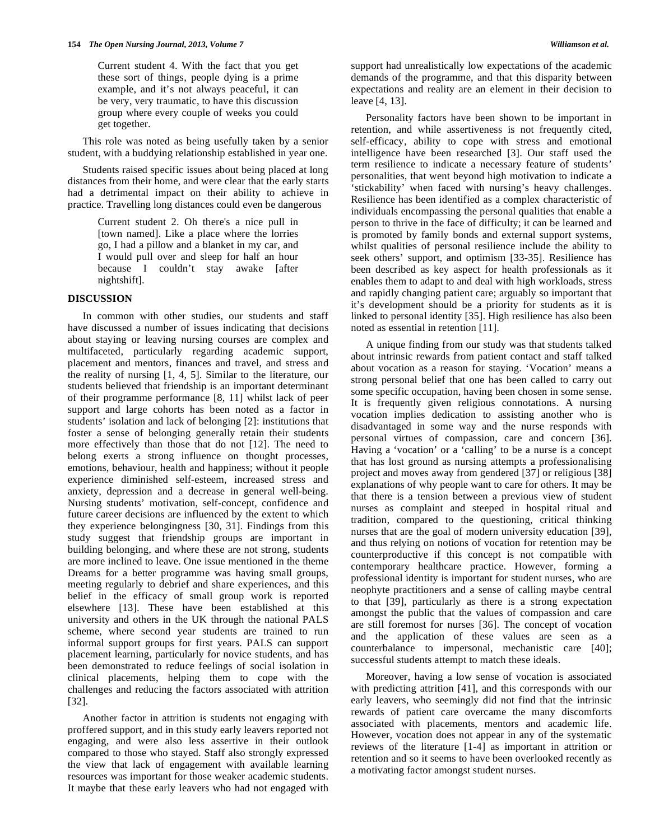Current student 4. With the fact that you get these sort of things, people dying is a prime example, and it's not always peaceful, it can be very, very traumatic, to have this discussion group where every couple of weeks you could get together.

 This role was noted as being usefully taken by a senior student, with a buddying relationship established in year one.

 Students raised specific issues about being placed at long distances from their home, and were clear that the early starts had a detrimental impact on their ability to achieve in practice. Travelling long distances could even be dangerous

> Current student 2. Oh there's a nice pull in [town named]. Like a place where the lorries go, I had a pillow and a blanket in my car, and I would pull over and sleep for half an hour because I couldn't stay awake [after nightshift].

## **DISCUSSION**

 In common with other studies, our students and staff have discussed a number of issues indicating that decisions about staying or leaving nursing courses are complex and multifaceted, particularly regarding academic support, placement and mentors, finances and travel, and stress and the reality of nursing [1, 4, 5]. Similar to the literature, our students believed that friendship is an important determinant of their programme performance [8, 11] whilst lack of peer support and large cohorts has been noted as a factor in students' isolation and lack of belonging [2]: institutions that foster a sense of belonging generally retain their students more effectively than those that do not [12]. The need to belong exerts a strong influence on thought processes, emotions, behaviour, health and happiness; without it people experience diminished self-esteem, increased stress and anxiety, depression and a decrease in general well-being. Nursing students' motivation, self-concept, confidence and future career decisions are influenced by the extent to which they experience belongingness [30, 31]. Findings from this study suggest that friendship groups are important in building belonging, and where these are not strong, students are more inclined to leave. One issue mentioned in the theme Dreams for a better programme was having small groups, meeting regularly to debrief and share experiences, and this belief in the efficacy of small group work is reported elsewhere [13]. These have been established at this university and others in the UK through the national PALS scheme, where second year students are trained to run informal support groups for first years. PALS can support placement learning, particularly for novice students, and has been demonstrated to reduce feelings of social isolation in clinical placements, helping them to cope with the challenges and reducing the factors associated with attrition [32].

 Another factor in attrition is students not engaging with proffered support, and in this study early leavers reported not engaging, and were also less assertive in their outlook compared to those who stayed. Staff also strongly expressed the view that lack of engagement with available learning resources was important for those weaker academic students. It maybe that these early leavers who had not engaged with

support had unrealistically low expectations of the academic demands of the programme, and that this disparity between expectations and reality are an element in their decision to leave [4, 13].

 Personality factors have been shown to be important in retention, and while assertiveness is not frequently cited, self-efficacy, ability to cope with stress and emotional intelligence have been researched [3]. Our staff used the term resilience to indicate a necessary feature of students' personalities, that went beyond high motivation to indicate a 'stickability' when faced with nursing's heavy challenges. Resilience has been identified as a complex characteristic of individuals encompassing the personal qualities that enable a person to thrive in the face of difficulty; it can be learned and is promoted by family bonds and external support systems, whilst qualities of personal resilience include the ability to seek others' support, and optimism [33-35]. Resilience has been described as key aspect for health professionals as it enables them to adapt to and deal with high workloads, stress and rapidly changing patient care; arguably so important that it's development should be a priority for students as it is linked to personal identity [35]. High resilience has also been noted as essential in retention [11].

 A unique finding from our study was that students talked about intrinsic rewards from patient contact and staff talked about vocation as a reason for staying. 'Vocation' means a strong personal belief that one has been called to carry out some specific occupation, having been chosen in some sense. It is frequently given religious connotations. A nursing vocation implies dedication to assisting another who is disadvantaged in some way and the nurse responds with personal virtues of compassion, care and concern [36]. Having a 'vocation' or a 'calling' to be a nurse is a concept that has lost ground as nursing attempts a professionalising project and moves away from gendered [37] or religious [38] explanations of why people want to care for others. It may be that there is a tension between a previous view of student nurses as complaint and steeped in hospital ritual and tradition, compared to the questioning, critical thinking nurses that are the goal of modern university education [39], and thus relying on notions of vocation for retention may be counterproductive if this concept is not compatible with contemporary healthcare practice. However, forming a professional identity is important for student nurses, who are neophyte practitioners and a sense of calling maybe central to that [39], particularly as there is a strong expectation amongst the public that the values of compassion and care are still foremost for nurses [36]. The concept of vocation and the application of these values are seen as a counterbalance to impersonal, mechanistic care [40]; successful students attempt to match these ideals.

 Moreover, having a low sense of vocation is associated with predicting attrition [41], and this corresponds with our early leavers, who seemingly did not find that the intrinsic rewards of patient care overcame the many discomforts associated with placements, mentors and academic life. However, vocation does not appear in any of the systematic reviews of the literature [1-4] as important in attrition or retention and so it seems to have been overlooked recently as a motivating factor amongst student nurses.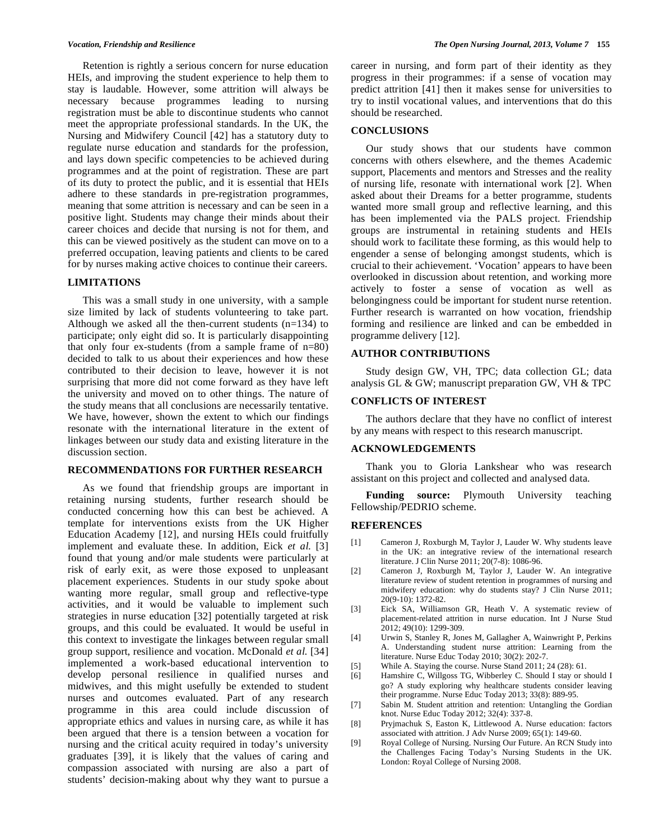Retention is rightly a serious concern for nurse education HEIs, and improving the student experience to help them to stay is laudable. However, some attrition will always be necessary because programmes leading to nursing registration must be able to discontinue students who cannot meet the appropriate professional standards. In the UK, the Nursing and Midwifery Council [42] has a statutory duty to regulate nurse education and standards for the profession, and lays down specific competencies to be achieved during programmes and at the point of registration. These are part of its duty to protect the public, and it is essential that HEIs adhere to these standards in pre-registration programmes, meaning that some attrition is necessary and can be seen in a positive light. Students may change their minds about their career choices and decide that nursing is not for them, and this can be viewed positively as the student can move on to a preferred occupation, leaving patients and clients to be cared for by nurses making active choices to continue their careers.

## **LIMITATIONS**

 This was a small study in one university, with a sample size limited by lack of students volunteering to take part. Although we asked all the then-current students  $(n=134)$  to participate; only eight did so. It is particularly disappointing that only four ex-students (from a sample frame of  $n=80$ ) decided to talk to us about their experiences and how these contributed to their decision to leave, however it is not surprising that more did not come forward as they have left the university and moved on to other things. The nature of the study means that all conclusions are necessarily tentative. We have, however, shown the extent to which our findings resonate with the international literature in the extent of linkages between our study data and existing literature in the discussion section.

#### **RECOMMENDATIONS FOR FURTHER RESEARCH**

 As we found that friendship groups are important in retaining nursing students, further research should be conducted concerning how this can best be achieved. A template for interventions exists from the UK Higher Education Academy [12], and nursing HEIs could fruitfully implement and evaluate these. In addition, Eick *et al.* [3] found that young and/or male students were particularly at risk of early exit, as were those exposed to unpleasant placement experiences. Students in our study spoke about wanting more regular, small group and reflective-type activities, and it would be valuable to implement such strategies in nurse education [32] potentially targeted at risk groups, and this could be evaluated. It would be useful in this context to investigate the linkages between regular small group support, resilience and vocation. McDonald *et al.* [34] implemented a work-based educational intervention to develop personal resilience in qualified nurses and midwives, and this might usefully be extended to student nurses and outcomes evaluated. Part of any research programme in this area could include discussion of appropriate ethics and values in nursing care, as while it has been argued that there is a tension between a vocation for nursing and the critical acuity required in today's university graduates [39], it is likely that the values of caring and compassion associated with nursing are also a part of students' decision-making about why they want to pursue a

career in nursing, and form part of their identity as they progress in their programmes: if a sense of vocation may predict attrition [41] then it makes sense for universities to try to instil vocational values, and interventions that do this should be researched.

#### **CONCLUSIONS**

 Our study shows that our students have common concerns with others elsewhere, and the themes Academic support, Placements and mentors and Stresses and the reality of nursing life, resonate with international work [2]. When asked about their Dreams for a better programme, students wanted more small group and reflective learning, and this has been implemented via the PALS project. Friendship groups are instrumental in retaining students and HEIs should work to facilitate these forming, as this would help to engender a sense of belonging amongst students, which is crucial to their achievement. 'Vocation' appears to have been overlooked in discussion about retention, and working more actively to foster a sense of vocation as well as belongingness could be important for student nurse retention. Further research is warranted on how vocation, friendship forming and resilience are linked and can be embedded in programme delivery [12].

## **AUTHOR CONTRIBUTIONS**

 Study design GW, VH, TPC; data collection GL; data analysis GL & GW; manuscript preparation GW, VH & TPC

# **CONFLICTS OF INTEREST**

 The authors declare that they have no conflict of interest by any means with respect to this research manuscript.

# **ACKNOWLEDGEMENTS**

 Thank you to Gloria Lankshear who was research assistant on this project and collected and analysed data.

 **Funding source:** Plymouth University teaching Fellowship/PEDRIO scheme.

## **REFERENCES**

- [1] Cameron J, Roxburgh M, Taylor J, Lauder W. Why students leave in the UK: an integrative review of the international research literature. J Clin Nurse 2011; 20(7-8): 1086-96.
- [2] Cameron J, Roxburgh M, Taylor J, Lauder W. An integrative literature review of student retention in programmes of nursing and midwifery education: why do students stay? J Clin Nurse 2011; 20(9-10): 1372-82.
- [3] Eick SA, Williamson GR, Heath V. A systematic review of placement-related attrition in nurse education. Int J Nurse Stud 2012; 49(10): 1299-309.
- [4] Urwin S, Stanley R, Jones M, Gallagher A, Wainwright P, Perkins A. Understanding student nurse attrition: Learning from the literature. Nurse Educ Today 2010; 30(2): 202-7.
- [5] While A. Staying the course. Nurse Stand 2011; 24 (28): 61.
- [6] Hamshire C, Willgoss TG, Wibberley C. Should I stay or should I go? A study exploring why healthcare students consider leaving their programme. Nurse Educ Today 2013; 33(8): 889-95.
- [7] Sabin M. Student attrition and retention: Untangling the Gordian knot. Nurse Educ Today 2012; 32(4): 337-8.
- [8] Pryjmachuk S, Easton K, Littlewood A. Nurse education: factors associated with attrition. J Adv Nurse 2009; 65(1): 149-60.
- [9] Royal College of Nursing. Nursing Our Future. An RCN Study into the Challenges Facing Today's Nursing Students in the UK. London: Royal College of Nursing 2008.